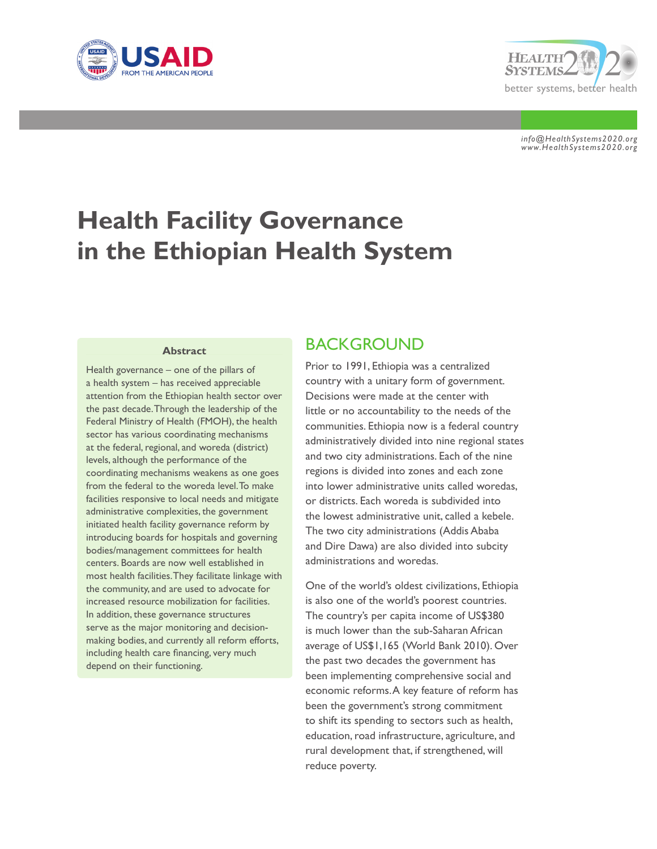



*info@HealthSystems2020.org www.HealthSystems2020.org*

# **Health Facility Governance in the Ethiopian Health System**

#### **Abstract**

Health governance – one of the pillars of a health system – has received appreciable attention from the Ethiopian health sector over the past decade. Through the leadership of the Federal Ministry of Health (FMOH), the health sector has various coordinating mechanisms at the federal, regional, and woreda (district) levels, although the performance of the coordinating mechanisms weakens as one goes from the federal to the woreda level. To make facilities responsive to local needs and mitigate administrative complexities, the government initiated health facility governance reform by introducing boards for hospitals and governing bodies/management committees for health centers. Boards are now well established in most health facilities. They facilitate linkage with the community, and are used to advocate for increased resource mobilization for facilities. In addition, these governance structures serve as the major monitoring and decisionmaking bodies, and currently all reform efforts, including health care financing, very much depend on their functioning.

### **BACKGROUND**

Prior to 1991, Ethiopia was a centralized country with a unitary form of government. Decisions were made at the center with little or no accountability to the needs of the communities. Ethiopia now is a federal country administratively divided into nine regional states and two city administrations. Each of the nine regions is divided into zones and each zone into lower administrative units called woredas, or districts. Each woreda is subdivided into the lowest administrative unit, called a kebele. The two city administrations (Addis Ababa and Dire Dawa) are also divided into subcity administrations and woredas.

One of the world's oldest civilizations, Ethiopia is also one of the world's poorest countries. The country's per capita income of US\$380 is much lower than the sub-Saharan African average of US\$1,165 (World Bank 2010). Over the past two decades the government has been implementing comprehensive social and economic reforms. A key feature of reform has been the government's strong commitment to shift its spending to sectors such as health, education, road infrastructure, agriculture, and rural development that, if strengthened, will reduce poverty.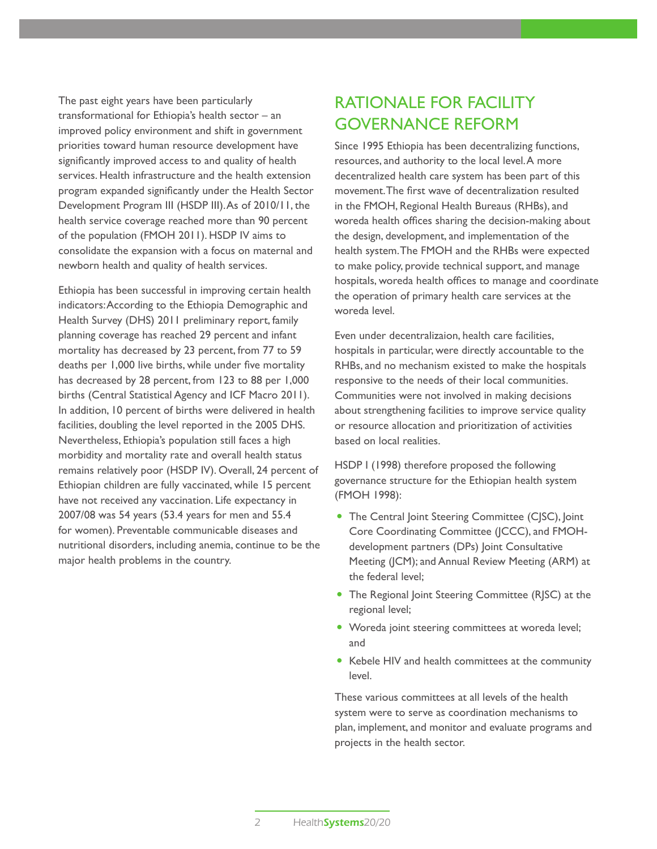The past eight years have been particularly transformational for Ethiopia's health sector – an improved policy environment and shift in government priorities toward human resource development have significantly improved access to and quality of health services. Health infrastructure and the health extension program expanded significantly under the Health Sector Development Program III (HSDP III). As of 2010/11, the health service coverage reached more than 90 percent of the population (FMOH 2011). HSDP IV aims to consolidate the expansion with a focus on maternal and newborn health and quality of health services.

Ethiopia has been successful in improving certain health indicators: According to the Ethiopia Demographic and Health Survey (DHS) 2011 preliminary report, family planning coverage has reached 29 percent and infant mortality has decreased by 23 percent, from 77 to 59 deaths per 1,000 live births, while under five mortality has decreased by 28 percent, from 123 to 88 per 1,000 births (Central Statistical Agency and ICF Macro 2011). In addition, 10 percent of births were delivered in health facilities, doubling the level reported in the 2005 DHS. Nevertheless, Ethiopia's population still faces a high morbidity and mortality rate and overall health status remains relatively poor (HSDP IV). Overall, 24 percent of Ethiopian children are fully vaccinated, while 15 percent have not received any vaccination. Life expectancy in 2007/08 was 54 years (53.4 years for men and 55.4 for women). Preventable communicable diseases and nutritional disorders, including anemia, continue to be the major health problems in the country.

# Rationale for Facility Governance Reform

Since 1995 Ethiopia has been decentralizing functions, resources, and authority to the local level. A more decentralized health care system has been part of this movement. The first wave of decentralization resulted in the FMOH, Regional Health Bureaus (RHBs), and woreda health offices sharing the decision-making about the design, development, and implementation of the health system. The FMOH and the RHBs were expected to make policy, provide technical support, and manage hospitals, woreda health offices to manage and coordinate the operation of primary health care services at the woreda level.

Even under decentralizaion, health care facilities, hospitals in particular, were directly accountable to the RHBs, and no mechanism existed to make the hospitals responsive to the needs of their local communities. Communities were not involved in making decisions about strengthening facilities to improve service quality or resource allocation and prioritization of activities based on local realities.

HSDP I (1998) therefore proposed the following governance structure for the Ethiopian health system (FMOH 1998):

- The Central Joint Steering Committee (CJSC), Joint Core Coordinating Committee (JCCC), and FMOHdevelopment partners (DPs) Joint Consultative Meeting (JCM); and Annual Review Meeting (ARM) at the federal level;
- The Regional Joint Steering Committee (RJSC) at the regional level;
- Woreda joint steering committees at woreda level; and
- Kebele HIV and health committees at the community level.

These various committees at all levels of the health system were to serve as coordination mechanisms to plan, implement, and monitor and evaluate programs and projects in the health sector.

2 Health**Systems**20/20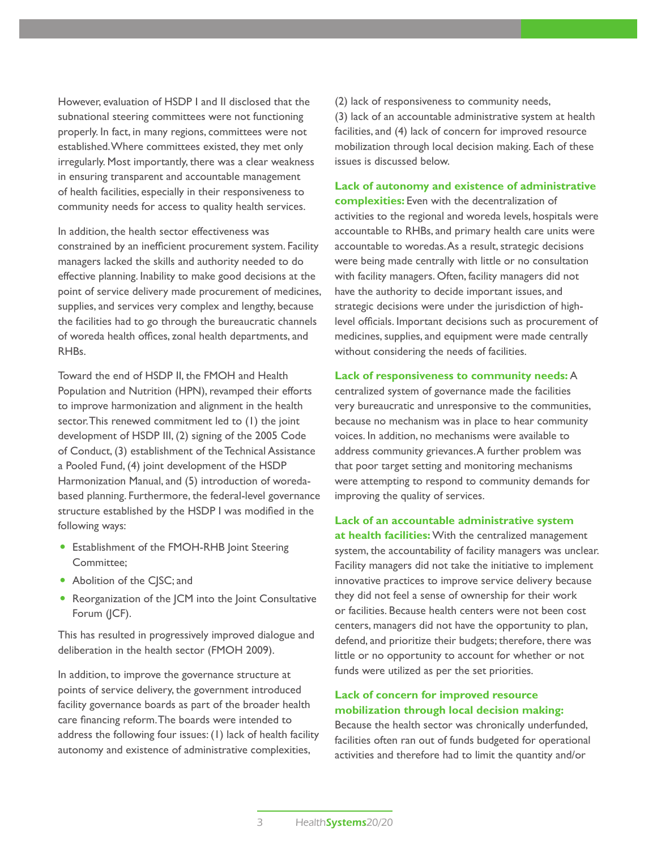However, evaluation of HSDP I and II disclosed that the subnational steering committees were not functioning properly. In fact, in many regions, committees were not established. Where committees existed, they met only irregularly. Most importantly, there was a clear weakness in ensuring transparent and accountable management of health facilities, especially in their responsiveness to community needs for access to quality health services.

In addition, the health sector effectiveness was constrained by an inefficient procurement system. Facility managers lacked the skills and authority needed to do effective planning. Inability to make good decisions at the point of service delivery made procurement of medicines, supplies, and services very complex and lengthy, because the facilities had to go through the bureaucratic channels of woreda health offices, zonal health departments, and RHBs.

Toward the end of HSDP II, the FMOH and Health Population and Nutrition (HPN), revamped their efforts to improve harmonization and alignment in the health sector. This renewed commitment led to (1) the joint development of HSDP III, (2) signing of the 2005 Code of Conduct, (3) establishment of the Technical Assistance a Pooled Fund, (4) joint development of the HSDP Harmonization Manual, and (5) introduction of woredabased planning. Furthermore, the federal-level governance structure established by the HSDP I was modified in the following ways:

- Establishment of the FMOH-RHB Joint Steering Committee;
- Abolition of the CJSC; and
- Reorganization of the JCM into the Joint Consultative Forum (JCF).

This has resulted in progressively improved dialogue and deliberation in the health sector (FMOH 2009).

In addition, to improve the governance structure at points of service delivery, the government introduced facility governance boards as part of the broader health care financing reform. The boards were intended to address the following four issues: (1) lack of health facility autonomy and existence of administrative complexities,

(2) lack of responsiveness to community needs, (3) lack of an accountable administrative system at health facilities, and (4) lack of concern for improved resource mobilization through local decision making. Each of these issues is discussed below.

**Lack of autonomy and existence of administrative complexities:** Even with the decentralization of activities to the regional and woreda levels, hospitals were accountable to RHBs, and primary health care units were accountable to woredas. As a result, strategic decisions were being made centrally with little or no consultation with facility managers. Often, facility managers did not have the authority to decide important issues, and strategic decisions were under the jurisdiction of highlevel officials. Important decisions such as procurement of medicines, supplies, and equipment were made centrally without considering the needs of facilities.

### **Lack of responsiveness to community needs:** A

centralized system of governance made the facilities very bureaucratic and unresponsive to the communities, because no mechanism was in place to hear community voices. In addition, no mechanisms were available to address community grievances. A further problem was that poor target setting and monitoring mechanisms were attempting to respond to community demands for improving the quality of services.

### **Lack of an accountable administrative system**

**at health facilities:** With the centralized management system, the accountability of facility managers was unclear. Facility managers did not take the initiative to implement innovative practices to improve service delivery because they did not feel a sense of ownership for their work or facilities. Because health centers were not been cost centers, managers did not have the opportunity to plan, defend, and prioritize their budgets; therefore, there was little or no opportunity to account for whether or not funds were utilized as per the set priorities.

### **Lack of concern for improved resource mobilization through local decision making:**

Because the health sector was chronically underfunded, facilities often ran out of funds budgeted for operational activities and therefore had to limit the quantity and/or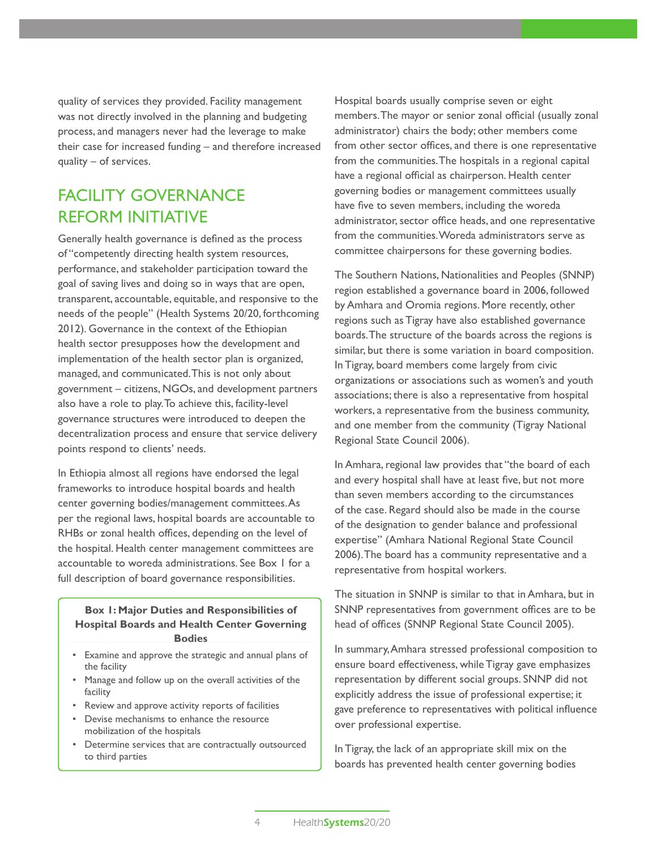quality of services they provided. Facility management was not directly involved in the planning and budgeting process, and managers never had the leverage to make their case for increased funding – and therefore increased quality – of services.

# FACILITY GOVERNANCE Reform Initiative

Generally health governance is defined as the process of "competently directing health system resources, performance, and stakeholder participation toward the goal of saving lives and doing so in ways that are open, transparent, accountable, equitable, and responsive to the needs of the people" (Health Systems 20/20, forthcoming 2012). Governance in the context of the Ethiopian health sector presupposes how the development and implementation of the health sector plan is organized, managed, and communicated. This is not only about government – citizens, NGOs, and development partners also have a role to play. To achieve this, facility-level governance structures were introduced to deepen the decentralization process and ensure that service delivery points respond to clients' needs.

In Ethiopia almost all regions have endorsed the legal frameworks to introduce hospital boards and health center governing bodies/management committees. As per the regional laws, hospital boards are accountable to RHBs or zonal health offices, depending on the level of the hospital. Health center management committees are accountable to woreda administrations. See Box 1 for a full description of board governance responsibilities.

**Box 1: Major Duties and Responsibilities of Hospital Boards and Health Center Governing Bodies** 

- Examine and approve the strategic and annual plans of the facility
- Manage and follow up on the overall activities of the facility
- Review and approve activity reports of facilities
- Devise mechanisms to enhance the resource mobilization of the hospitals
- Determine services that are contractually outsourced to third parties

Hospital boards usually comprise seven or eight members. The mayor or senior zonal official (usually zonal administrator) chairs the body; other members come from other sector offices, and there is one representative from the communities. The hospitals in a regional capital have a regional official as chairperson. Health center governing bodies or management committees usually have five to seven members, including the woreda administrator, sector office heads, and one representative from the communities. Woreda administrators serve as committee chairpersons for these governing bodies.

The Southern Nations, Nationalities and Peoples (SNNP) region established a governance board in 2006, followed by Amhara and Oromia regions. More recently, other regions such as Tigray have also established governance boards. The structure of the boards across the regions is similar, but there is some variation in board composition. In Tigray, board members come largely from civic organizations or associations such as women's and youth associations; there is also a representative from hospital workers, a representative from the business community, and one member from the community (Tigray National Regional State Council 2006).

In Amhara, regional law provides that "the board of each and every hospital shall have at least five, but not more than seven members according to the circumstances of the case. Regard should also be made in the course of the designation to gender balance and professional expertise" (Amhara National Regional State Council 2006). The board has a community representative and a representative from hospital workers.

The situation in SNNP is similar to that in Amhara, but in SNNP representatives from government offices are to be head of offices (SNNP Regional State Council 2005).

In summary, Amhara stressed professional composition to ensure board effectiveness, while Tigray gave emphasizes representation by different social groups. SNNP did not explicitly address the issue of professional expertise; it gave preference to representatives with political influence over professional expertise.

In Tigray, the lack of an appropriate skill mix on the boards has prevented health center governing bodies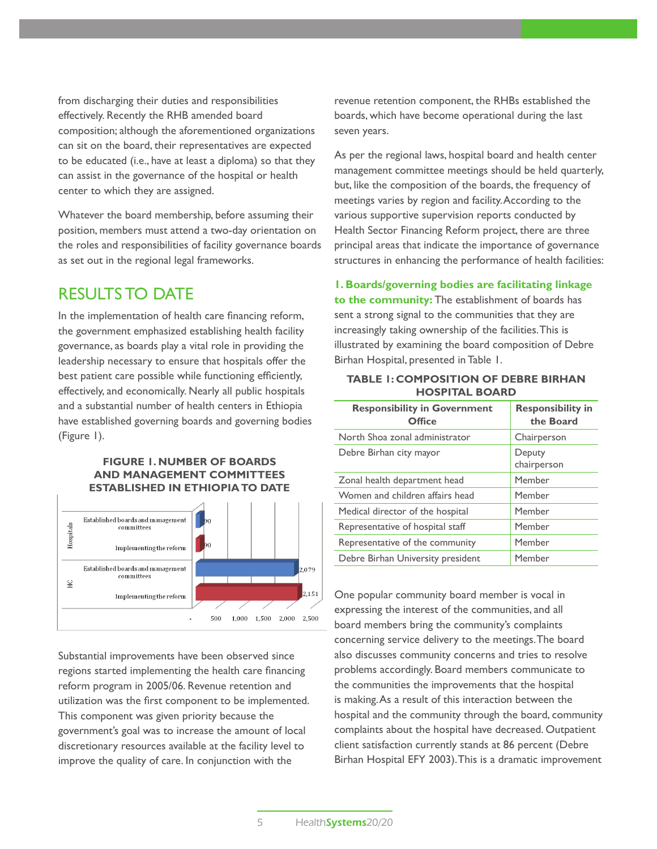from discharging their duties and responsibilities effectively. Recently the RHB amended board composition; although the aforementioned organizations can sit on the board, their representatives are expected to be educated (i.e., have at least a diploma) so that they can assist in the governance of the hospital or health center to which they are assigned.

Whatever the board membership, before assuming their position, members must attend a two-day orientation on the roles and responsibilities of facility governance boards as set out in the regional legal frameworks.

### Results to Date

In the implementation of health care financing reform, the government emphasized establishing health facility governance, as boards play a vital role in providing the leadership necessary to ensure that hospitals offer the best patient care possible while functioning efficiently, effectively, and economically. Nearly all public hospitals and a substantial number of health centers in Ethiopia have established governing boards and governing bodies (Figure 1).

### **Figure 1. Number of Boards and Management Committees Established in EthiopiaTo Date**



Substantial improvements have been observed since regions started implementing the health care financing reform program in 2005/06. Revenue retention and utilization was the first component to be implemented. This component was given priority because the government's goal was to increase the amount of local discretionary resources available at the facility level to improve the quality of care. In conjunction with the

revenue retention component, the RHBs established the boards, which have become operational during the last seven years.

As per the regional laws, hospital board and health center management committee meetings should be held quarterly, but, like the composition of the boards, the frequency of meetings varies by region and facility. According to the various supportive supervision reports conducted by Health Sector Financing Reform project, there are three principal areas that indicate the importance of governance structures in enhancing the performance of health facilities:

**1. Boards/governing bodies are facilitating linkage** 

**to the community:** The establishment of boards has sent a strong signal to the communities that they are increasingly taking ownership of the facilities. This is illustrated by examining the board composition of Debre Birhan Hospital, presented in Table 1.

| <b>TABLE 1: COMPOSITION OF DEBRE BIRHAN</b> |  |  |
|---------------------------------------------|--|--|
| <b>HOSPITAL BOARD</b>                       |  |  |

| <b>Responsibility in Government</b><br><b>Office</b> | <b>Responsibility in</b><br>the Board |  |
|------------------------------------------------------|---------------------------------------|--|
| North Shoa zonal administrator                       | Chairperson                           |  |
| Debre Birhan city mayor                              | Deputy<br>chairperson                 |  |
| Zonal health department head                         | Member                                |  |
| Women and children affairs head                      | Member                                |  |
| Medical director of the hospital                     | Member                                |  |
| Representative of hospital staff                     | Member                                |  |
| Representative of the community                      | Member                                |  |
| Debre Birhan University president                    | Member                                |  |

One popular community board member is vocal in expressing the interest of the communities, and all board members bring the community's complaints concerning service delivery to the meetings. The board also discusses community concerns and tries to resolve problems accordingly. Board members communicate to the communities the improvements that the hospital is making. As a result of this interaction between the hospital and the community through the board, community complaints about the hospital have decreased. Outpatient client satisfaction currently stands at 86 percent (Debre Birhan Hospital EFY 2003). This is a dramatic improvement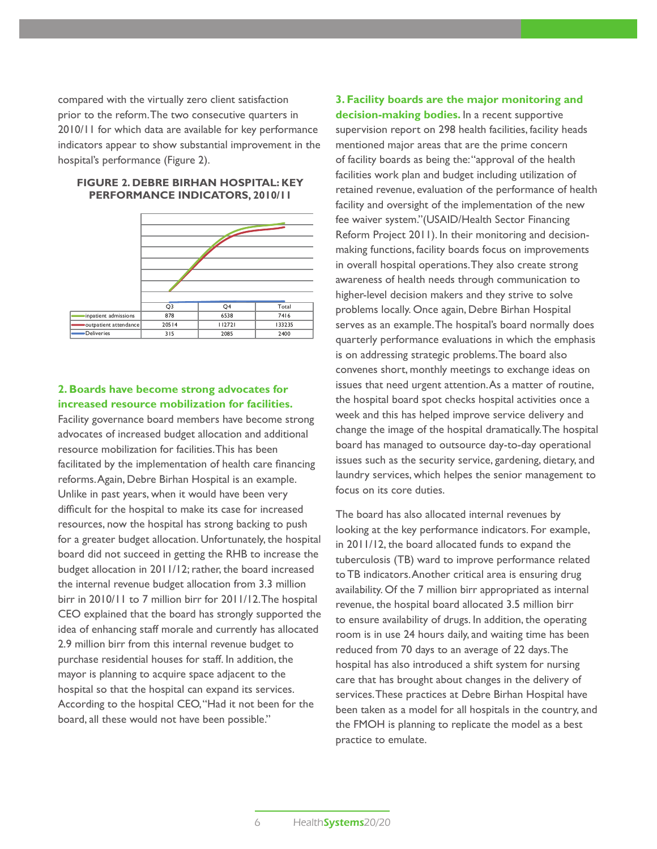compared with the virtually zero client satisfaction prior to the reform. The two consecutive quarters in 2010/11 for which data are available for key performance indicators appear to show substantial improvement in the hospital's performance (Figure 2).



### **Figure 2. Debre Birhan Hospital: Key Performance Indicators, 2010/11**

### **2. Boards have become strong advocates for increased resource mobilization for facilities.**

Facility governance board members have become strong advocates of increased budget allocation and additional resource mobilization for facilities. This has been facilitated by the implementation of health care financing reforms. Again, Debre Birhan Hospital is an example. Unlike in past years, when it would have been very difficult for the hospital to make its case for increased resources, now the hospital has strong backing to push for a greater budget allocation. Unfortunately, the hospital board did not succeed in getting the RHB to increase the budget allocation in 2011/12; rather, the board increased the internal revenue budget allocation from 3.3 million birr in 2010/11 to 7 million birr for 2011/12. The hospital CEO explained that the board has strongly supported the idea of enhancing staff morale and currently has allocated 2.9 million birr from this internal revenue budget to purchase residential houses for staff. In addition, the mayor is planning to acquire space adjacent to the hospital so that the hospital can expand its services. According to the hospital CEO, "Had it not been for the board, all these would not have been possible."

**3. Facility boards are the major monitoring and decision-making bodies.** In a recent supportive supervision report on 298 health facilities, facility heads mentioned major areas that are the prime concern of facility boards as being the: "approval of the health facilities work plan and budget including utilization of retained revenue, evaluation of the performance of health facility and oversight of the implementation of the new fee waiver system."(USAID/Health Sector Financing Reform Project 2011). In their monitoring and decisionmaking functions, facility boards focus on improvements in overall hospital operations. They also create strong awareness of health needs through communication to higher-level decision makers and they strive to solve problems locally. Once again, Debre Birhan Hospital serves as an example. The hospital's board normally does quarterly performance evaluations in which the emphasis is on addressing strategic problems. The board also convenes short, monthly meetings to exchange ideas on issues that need urgent attention. As a matter of routine, the hospital board spot checks hospital activities once a week and this has helped improve service delivery and change the image of the hospital dramatically. The hospital board has managed to outsource day-to-day operational issues such as the security service, gardening, dietary, and laundry services, which helpes the senior management to focus on its core duties.

The board has also allocated internal revenues by looking at the key performance indicators. For example, in 2011/12, the board allocated funds to expand the tuberculosis (TB) ward to improve performance related to TB indicators. Another critical area is ensuring drug availability. Of the 7 million birr appropriated as internal revenue, the hospital board allocated 3.5 million birr to ensure availability of drugs. In addition, the operating room is in use 24 hours daily, and waiting time has been reduced from 70 days to an average of 22 days. The hospital has also introduced a shift system for nursing care that has brought about changes in the delivery of services. These practices at Debre Birhan Hospital have been taken as a model for all hospitals in the country, and the FMOH is planning to replicate the model as a best practice to emulate.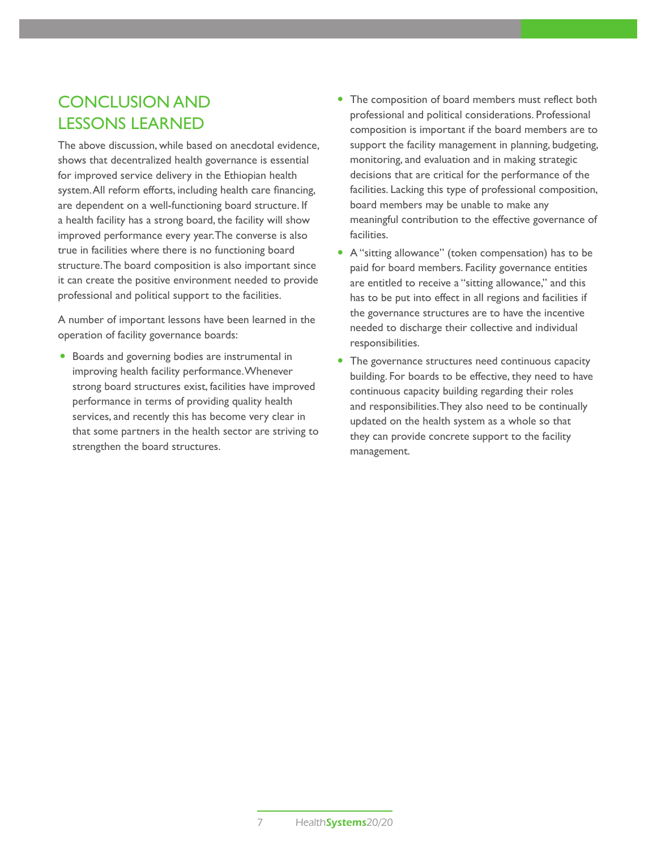# Conclusion and Lessons Learned

The above discussion, while based on anecdotal evidence, shows that decentralized health governance is essential for improved service delivery in the Ethiopian health system. All reform efforts, including health care financing, are dependent on a well-functioning board structure. If a health facility has a strong board, the facility will show improved performance every year. The converse is also true in facilities where there is no functioning board structure. The board composition is also important since it can create the positive environment needed to provide professional and political support to the facilities.

A number of important lessons have been learned in the operation of facility governance boards:

• Boards and governing bodies are instrumental in improving health facility performance. Whenever strong board structures exist, facilities have improved performance in terms of providing quality health services, and recently this has become very clear in that some partners in the health sector are striving to strengthen the board structures.

- The composition of board members must reflect both professional and political considerations. Professional composition is important if the board members are to support the facility management in planning, budgeting, monitoring, and evaluation and in making strategic decisions that are critical for the performance of the facilities. Lacking this type of professional composition, board members may be unable to make any meaningful contribution to the effective governance of facilities.
- A "sitting allowance" (token compensation) has to be paid for board members. Facility governance entities are entitled to receive a "sitting allowance," and this has to be put into effect in all regions and facilities if the governance structures are to have the incentive needed to discharge their collective and individual responsibilities.
- The governance structures need continuous capacity building. For boards to be effective, they need to have continuous capacity building regarding their roles and responsibilities. They also need to be continually updated on the health system as a whole so that they can provide concrete support to the facility management.